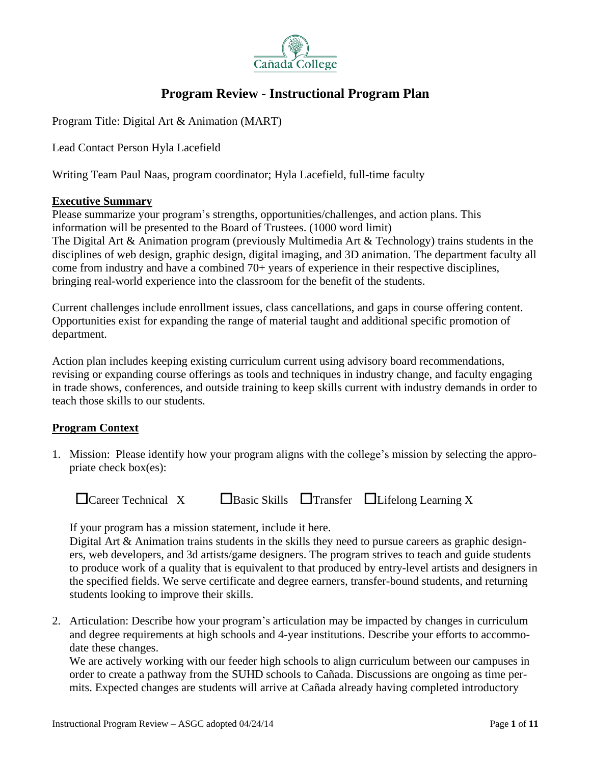

# **Program Review - Instructional Program Plan**

Program Title: Digital Art & Animation (MART)

Lead Contact Person Hyla Lacefield

Writing Team Paul Naas, program coordinator; Hyla Lacefield, full-time faculty

#### **Executive Summary**

Please summarize your program's strengths, opportunities/challenges, and action plans. This information will be presented to the Board of Trustees. (1000 word limit) The Digital Art & Animation program (previously Multimedia Art & Technology) trains students in the disciplines of web design, graphic design, digital imaging, and 3D animation. The department faculty all come from industry and have a combined 70+ years of experience in their respective disciplines, bringing real-world experience into the classroom for the benefit of the students.

Current challenges include enrollment issues, class cancellations, and gaps in course offering content. Opportunities exist for expanding the range of material taught and additional specific promotion of department.

Action plan includes keeping existing curriculum current using advisory board recommendations, revising or expanding course offerings as tools and techniques in industry change, and faculty engaging in trade shows, conferences, and outside training to keep skills current with industry demands in order to teach those skills to our students.

## **Program Context**

1. Mission: Please identify how your program aligns with the college's mission by selecting the appropriate check box(es):

| $\Box$ Career Technical X |  |  | $\Box$ Basic Skills $\Box$ Transfer $\Box$ Lifelong Learning X |
|---------------------------|--|--|----------------------------------------------------------------|
|---------------------------|--|--|----------------------------------------------------------------|

If your program has a mission statement, include it here.

Digital Art & Animation trains students in the skills they need to pursue careers as graphic designers, web developers, and 3d artists/game designers. The program strives to teach and guide students to produce work of a quality that is equivalent to that produced by entry-level artists and designers in the specified fields. We serve certificate and degree earners, transfer-bound students, and returning students looking to improve their skills.

2. Articulation: Describe how your program's articulation may be impacted by changes in curriculum and degree requirements at high schools and 4-year institutions. Describe your efforts to accommodate these changes.

We are actively working with our feeder high schools to align curriculum between our campuses in order to create a pathway from the SUHD schools to Cañada. Discussions are ongoing as time permits. Expected changes are students will arrive at Cañada already having completed introductory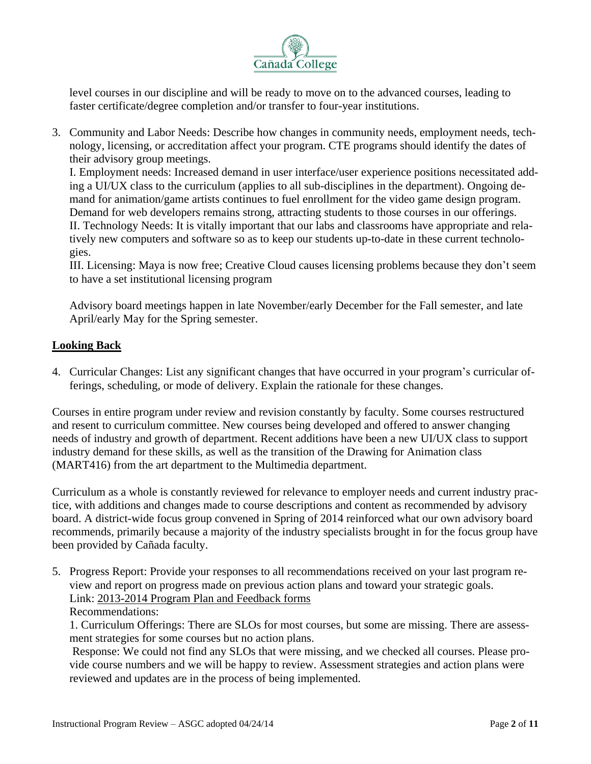

level courses in our discipline and will be ready to move on to the advanced courses, leading to faster certificate/degree completion and/or transfer to four-year institutions.

3. Community and Labor Needs: Describe how changes in community needs, employment needs, technology, licensing, or accreditation affect your program. CTE programs should identify the dates of their advisory group meetings.

I. Employment needs: Increased demand in user interface/user experience positions necessitated adding a UI/UX class to the curriculum (applies to all sub-disciplines in the department). Ongoing demand for animation/game artists continues to fuel enrollment for the video game design program. Demand for web developers remains strong, attracting students to those courses in our offerings. II. Technology Needs: It is vitally important that our labs and classrooms have appropriate and relatively new computers and software so as to keep our students up-to-date in these current technologies.

III. Licensing: Maya is now free; Creative Cloud causes licensing problems because they don't seem to have a set institutional licensing program

Advisory board meetings happen in late November/early December for the Fall semester, and late April/early May for the Spring semester.

# **Looking Back**

4. Curricular Changes: List any significant changes that have occurred in your program's curricular offerings, scheduling, or mode of delivery. Explain the rationale for these changes.

Courses in entire program under review and revision constantly by faculty. Some courses restructured and resent to curriculum committee. New courses being developed and offered to answer changing needs of industry and growth of department. Recent additions have been a new UI/UX class to support industry demand for these skills, as well as the transition of the Drawing for Animation class (MART416) from the art department to the Multimedia department.

Curriculum as a whole is constantly reviewed for relevance to employer needs and current industry practice, with additions and changes made to course descriptions and content as recommended by advisory board. A district-wide focus group convened in Spring of 2014 reinforced what our own advisory board recommends, primarily because a majority of the industry specialists brought in for the focus group have been provided by Cañada faculty.

5. Progress Report: Provide your responses to all recommendations received on your last program review and report on progress made on previous action plans and toward your strategic goals. Link: [2013-2014](http://canadacollege.edu/programreview/instruction.php) Program Plan and Feedback forms

## Recommendations:

1. Curriculum Offerings: There are SLOs for most courses, but some are missing. There are assessment strategies for some courses but no action plans.

Response: We could not find any SLOs that were missing, and we checked all courses. Please provide course numbers and we will be happy to review. Assessment strategies and action plans were reviewed and updates are in the process of being implemented.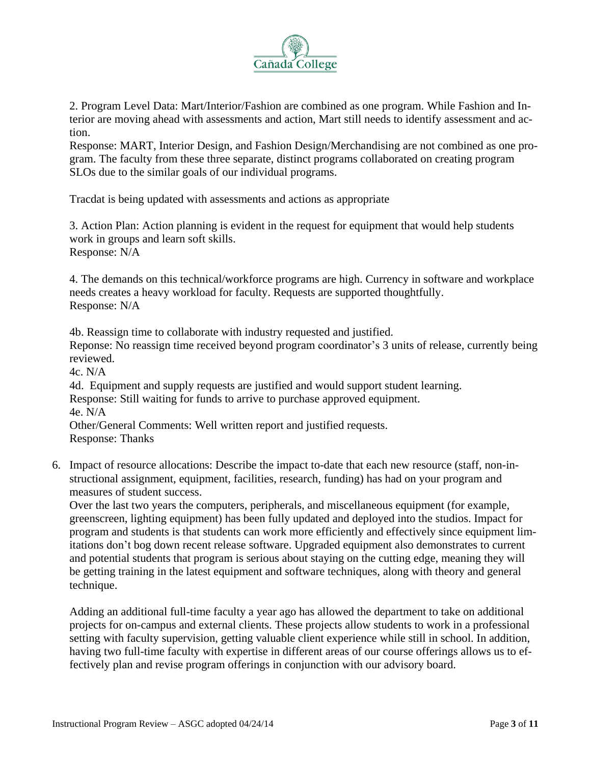

2. Program Level Data: Mart/Interior/Fashion are combined as one program. While Fashion and Interior are moving ahead with assessments and action, Mart still needs to identify assessment and action.

Response: MART, Interior Design, and Fashion Design/Merchandising are not combined as one program. The faculty from these three separate, distinct programs collaborated on creating program SLOs due to the similar goals of our individual programs.

Tracdat is being updated with assessments and actions as appropriate

3. Action Plan: Action planning is evident in the request for equipment that would help students work in groups and learn soft skills. Response: N/A

4. The demands on this technical/workforce programs are high. Currency in software and workplace needs creates a heavy workload for faculty. Requests are supported thoughtfully. Response: N/A

4b. Reassign time to collaborate with industry requested and justified. Reponse: No reassign time received beyond program coordinator's 3 units of release, currently being reviewed.

4c. N/A

4d. Equipment and supply requests are justified and would support student learning. Response: Still waiting for funds to arrive to purchase approved equipment. 4e. N/A Other/General Comments: Well written report and justified requests.

Response: Thanks

6. Impact of resource allocations: Describe the impact to-date that each new resource (staff, non-instructional assignment, equipment, facilities, research, funding) has had on your program and measures of student success.

Over the last two years the computers, peripherals, and miscellaneous equipment (for example, greenscreen, lighting equipment) has been fully updated and deployed into the studios. Impact for program and students is that students can work more efficiently and effectively since equipment limitations don't bog down recent release software. Upgraded equipment also demonstrates to current and potential students that program is serious about staying on the cutting edge, meaning they will be getting training in the latest equipment and software techniques, along with theory and general technique.

Adding an additional full-time faculty a year ago has allowed the department to take on additional projects for on-campus and external clients. These projects allow students to work in a professional setting with faculty supervision, getting valuable client experience while still in school. In addition, having two full-time faculty with expertise in different areas of our course offerings allows us to effectively plan and revise program offerings in conjunction with our advisory board.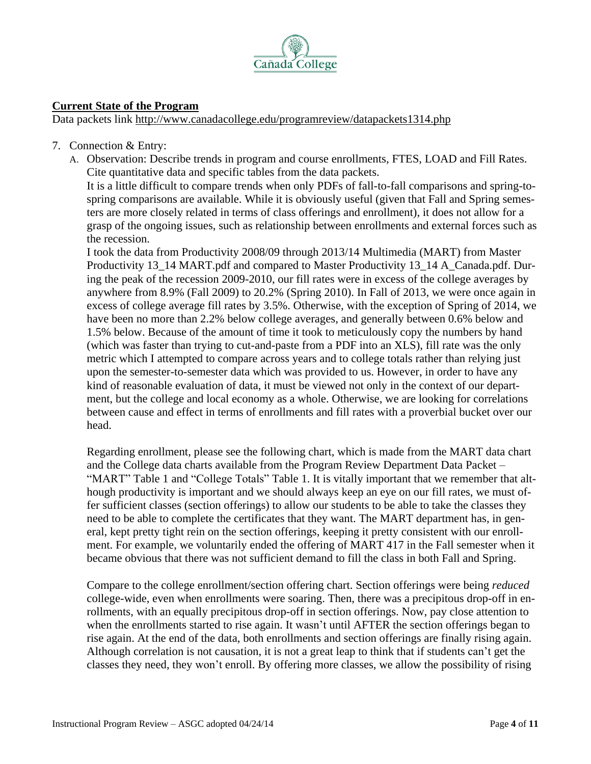

## **Current State of the Program**

Data packets link <http://www.canadacollege.edu/programreview/datapackets1314.php>

- 7. Connection & Entry:
	- A. Observation: Describe trends in program and course enrollments, FTES, LOAD and Fill Rates. Cite quantitative data and specific tables from the data packets.

It is a little difficult to compare trends when only PDFs of fall-to-fall comparisons and spring-tospring comparisons are available. While it is obviously useful (given that Fall and Spring semesters are more closely related in terms of class offerings and enrollment), it does not allow for a grasp of the ongoing issues, such as relationship between enrollments and external forces such as the recession.

I took the data from Productivity 2008/09 through 2013/14 Multimedia (MART) from Master Productivity 13\_14 MART.pdf and compared to Master Productivity 13\_14 A\_Canada.pdf. During the peak of the recession 2009-2010, our fill rates were in excess of the college averages by anywhere from 8.9% (Fall 2009) to 20.2% (Spring 2010). In Fall of 2013, we were once again in excess of college average fill rates by 3.5%. Otherwise, with the exception of Spring of 2014, we have been no more than 2.2% below college averages, and generally between 0.6% below and 1.5% below. Because of the amount of time it took to meticulously copy the numbers by hand (which was faster than trying to cut-and-paste from a PDF into an XLS), fill rate was the only metric which I attempted to compare across years and to college totals rather than relying just upon the semester-to-semester data which was provided to us. However, in order to have any kind of reasonable evaluation of data, it must be viewed not only in the context of our department, but the college and local economy as a whole. Otherwise, we are looking for correlations between cause and effect in terms of enrollments and fill rates with a proverbial bucket over our head.

Regarding enrollment, please see the following chart, which is made from the MART data chart and the College data charts available from the Program Review Department Data Packet – "MART" Table 1 and "College Totals" Table 1. It is vitally important that we remember that although productivity is important and we should always keep an eye on our fill rates, we must offer sufficient classes (section offerings) to allow our students to be able to take the classes they need to be able to complete the certificates that they want. The MART department has, in general, kept pretty tight rein on the section offerings, keeping it pretty consistent with our enrollment. For example, we voluntarily ended the offering of MART 417 in the Fall semester when it became obvious that there was not sufficient demand to fill the class in both Fall and Spring.

Compare to the college enrollment/section offering chart. Section offerings were being *reduced* college-wide, even when enrollments were soaring. Then, there was a precipitous drop-off in enrollments, with an equally precipitous drop-off in section offerings. Now, pay close attention to when the enrollments started to rise again. It wasn't until AFTER the section offerings began to rise again. At the end of the data, both enrollments and section offerings are finally rising again. Although correlation is not causation, it is not a great leap to think that if students can't get the classes they need, they won't enroll. By offering more classes, we allow the possibility of rising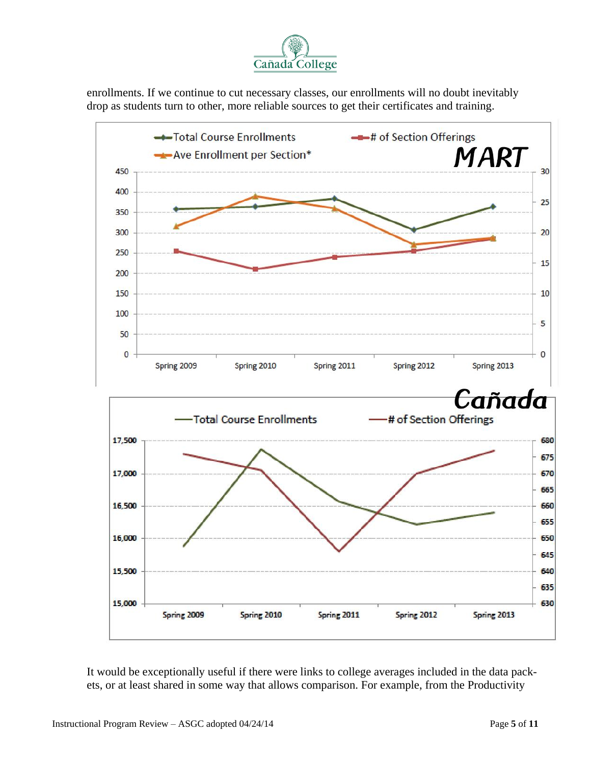

enrollments. If we continue to cut necessary classes, our enrollments will no doubt inevitably drop as students turn to other, more reliable sources to get their certificates and training.



It would be exceptionally useful if there were links to college averages included in the data packets, or at least shared in some way that allows comparison. For example, from the Productivity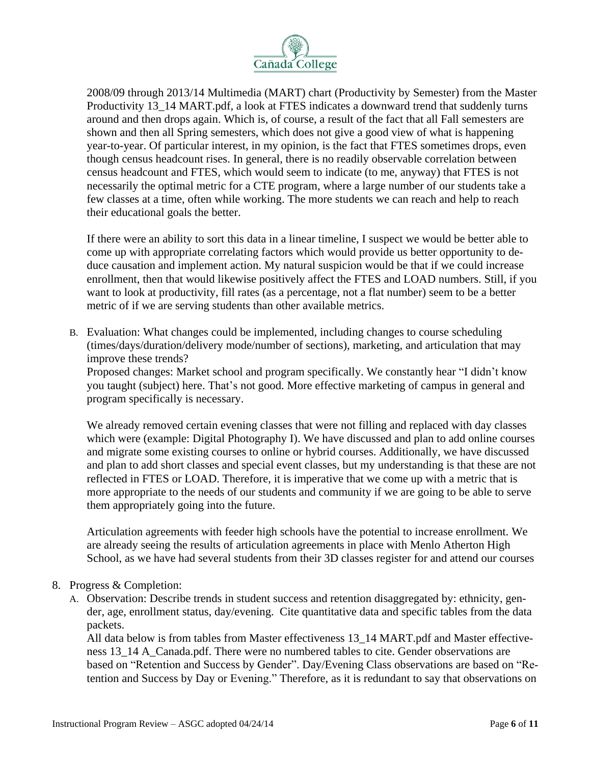

2008/09 through 2013/14 Multimedia (MART) chart (Productivity by Semester) from the Master Productivity 13\_14 MART.pdf, a look at FTES indicates a downward trend that suddenly turns around and then drops again. Which is, of course, a result of the fact that all Fall semesters are shown and then all Spring semesters, which does not give a good view of what is happening year-to-year. Of particular interest, in my opinion, is the fact that FTES sometimes drops, even though census headcount rises. In general, there is no readily observable correlation between census headcount and FTES, which would seem to indicate (to me, anyway) that FTES is not necessarily the optimal metric for a CTE program, where a large number of our students take a few classes at a time, often while working. The more students we can reach and help to reach their educational goals the better.

If there were an ability to sort this data in a linear timeline, I suspect we would be better able to come up with appropriate correlating factors which would provide us better opportunity to deduce causation and implement action. My natural suspicion would be that if we could increase enrollment, then that would likewise positively affect the FTES and LOAD numbers. Still, if you want to look at productivity, fill rates (as a percentage, not a flat number) seem to be a better metric of if we are serving students than other available metrics.

B. Evaluation: What changes could be implemented, including changes to course scheduling (times/days/duration/delivery mode/number of sections), marketing, and articulation that may improve these trends?

Proposed changes: Market school and program specifically. We constantly hear "I didn't know you taught (subject) here. That's not good. More effective marketing of campus in general and program specifically is necessary.

We already removed certain evening classes that were not filling and replaced with day classes which were (example: Digital Photography I). We have discussed and plan to add online courses and migrate some existing courses to online or hybrid courses. Additionally, we have discussed and plan to add short classes and special event classes, but my understanding is that these are not reflected in FTES or LOAD. Therefore, it is imperative that we come up with a metric that is more appropriate to the needs of our students and community if we are going to be able to serve them appropriately going into the future.

Articulation agreements with feeder high schools have the potential to increase enrollment. We are already seeing the results of articulation agreements in place with Menlo Atherton High School, as we have had several students from their 3D classes register for and attend our courses

- 8. Progress & Completion:
	- A. Observation: Describe trends in student success and retention disaggregated by: ethnicity, gender, age, enrollment status, day/evening. Cite quantitative data and specific tables from the data packets.

All data below is from tables from Master effectiveness 13\_14 MART.pdf and Master effectiveness 13–14 A Canada.pdf. There were no numbered tables to cite. Gender observations are based on "Retention and Success by Gender". Day/Evening Class observations are based on "Retention and Success by Day or Evening." Therefore, as it is redundant to say that observations on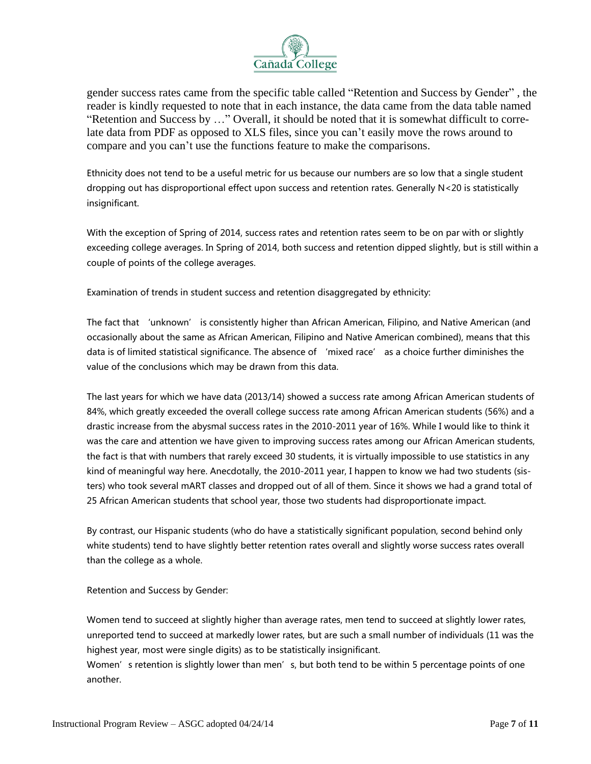

gender success rates came from the specific table called "Retention and Success by Gender" , the reader is kindly requested to note that in each instance, the data came from the data table named "Retention and Success by …" Overall, it should be noted that it is somewhat difficult to correlate data from PDF as opposed to XLS files, since you can't easily move the rows around to compare and you can't use the functions feature to make the comparisons.

Ethnicity does not tend to be a useful metric for us because our numbers are so low that a single student dropping out has disproportional effect upon success and retention rates. Generally N<20 is statistically insignificant.

With the exception of Spring of 2014, success rates and retention rates seem to be on par with or slightly exceeding college averages. In Spring of 2014, both success and retention dipped slightly, but is still within a couple of points of the college averages.

Examination of trends in student success and retention disaggregated by ethnicity:

The fact that 'unknown' is consistently higher than African American, Filipino, and Native American (and occasionally about the same as African American, Filipino and Native American combined), means that this data is of limited statistical significance. The absence of 'mixed race' as a choice further diminishes the value of the conclusions which may be drawn from this data.

The last years for which we have data (2013/14) showed a success rate among African American students of 84%, which greatly exceeded the overall college success rate among African American students (56%) and a drastic increase from the abysmal success rates in the 2010-2011 year of 16%. While I would like to think it was the care and attention we have given to improving success rates among our African American students, the fact is that with numbers that rarely exceed 30 students, it is virtually impossible to use statistics in any kind of meaningful way here. Anecdotally, the 2010-2011 year, I happen to know we had two students (sisters) who took several mART classes and dropped out of all of them. Since it shows we had a grand total of 25 African American students that school year, those two students had disproportionate impact.

By contrast, our Hispanic students (who do have a statistically significant population, second behind only white students) tend to have slightly better retention rates overall and slightly worse success rates overall than the college as a whole.

Retention and Success by Gender:

Women tend to succeed at slightly higher than average rates, men tend to succeed at slightly lower rates, unreported tend to succeed at markedly lower rates, but are such a small number of individuals (11 was the highest year, most were single digits) as to be statistically insignificant.

Women's retention is slightly lower than men's, but both tend to be within 5 percentage points of one another.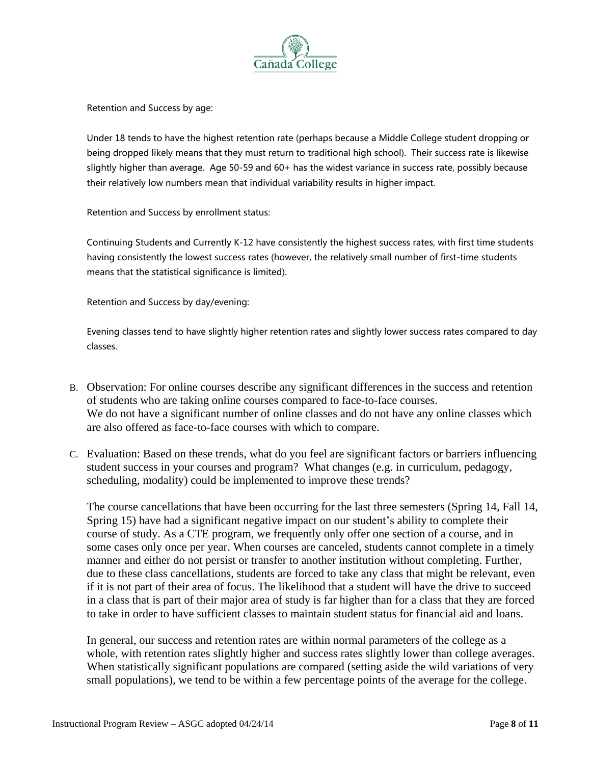

Retention and Success by age:

Under 18 tends to have the highest retention rate (perhaps because a Middle College student dropping or being dropped likely means that they must return to traditional high school). Their success rate is likewise slightly higher than average. Age 50-59 and 60+ has the widest variance in success rate, possibly because their relatively low numbers mean that individual variability results in higher impact.

Retention and Success by enrollment status:

Continuing Students and Currently K-12 have consistently the highest success rates, with first time students having consistently the lowest success rates (however, the relatively small number of first-time students means that the statistical significance is limited).

Retention and Success by day/evening:

Evening classes tend to have slightly higher retention rates and slightly lower success rates compared to day classes.

- B. Observation: For online courses describe any significant differences in the success and retention of students who are taking online courses compared to face-to-face courses. We do not have a significant number of online classes and do not have any online classes which are also offered as face-to-face courses with which to compare.
- C. Evaluation: Based on these trends, what do you feel are significant factors or barriers influencing student success in your courses and program? What changes (e.g. in curriculum, pedagogy, scheduling, modality) could be implemented to improve these trends?

The course cancellations that have been occurring for the last three semesters (Spring 14, Fall 14, Spring 15) have had a significant negative impact on our student's ability to complete their course of study. As a CTE program, we frequently only offer one section of a course, and in some cases only once per year. When courses are canceled, students cannot complete in a timely manner and either do not persist or transfer to another institution without completing. Further, due to these class cancellations, students are forced to take any class that might be relevant, even if it is not part of their area of focus. The likelihood that a student will have the drive to succeed in a class that is part of their major area of study is far higher than for a class that they are forced to take in order to have sufficient classes to maintain student status for financial aid and loans.

In general, our success and retention rates are within normal parameters of the college as a whole, with retention rates slightly higher and success rates slightly lower than college averages. When statistically significant populations are compared (setting aside the wild variations of very small populations), we tend to be within a few percentage points of the average for the college.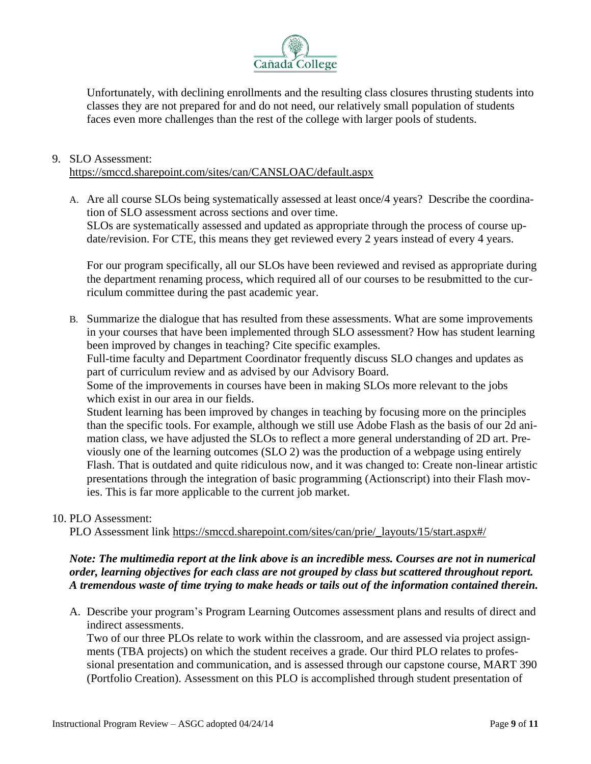

Unfortunately, with declining enrollments and the resulting class closures thrusting students into classes they are not prepared for and do not need, our relatively small population of students faces even more challenges than the rest of the college with larger pools of students.

## 9. SLO Assessment:

<https://smccd.sharepoint.com/sites/can/CANSLOAC/default.aspx>

A. Are all course SLOs being systematically assessed at least once/4 years? Describe the coordination of SLO assessment across sections and over time. SLOs are systematically assessed and updated as appropriate through the process of course update/revision. For CTE, this means they get reviewed every 2 years instead of every 4 years.

For our program specifically, all our SLOs have been reviewed and revised as appropriate during the department renaming process, which required all of our courses to be resubmitted to the curriculum committee during the past academic year.

B. Summarize the dialogue that has resulted from these assessments. What are some improvements in your courses that have been implemented through SLO assessment? How has student learning been improved by changes in teaching? Cite specific examples.

Full-time faculty and Department Coordinator frequently discuss SLO changes and updates as part of curriculum review and as advised by our Advisory Board.

Some of the improvements in courses have been in making SLOs more relevant to the jobs which exist in our area in our fields.

Student learning has been improved by changes in teaching by focusing more on the principles than the specific tools. For example, although we still use Adobe Flash as the basis of our 2d animation class, we have adjusted the SLOs to reflect a more general understanding of 2D art. Previously one of the learning outcomes (SLO 2) was the production of a webpage using entirely Flash. That is outdated and quite ridiculous now, and it was changed to: Create non-linear artistic presentations through the integration of basic programming (Actionscript) into their Flash movies. This is far more applicable to the current job market.

## 10. PLO Assessment:

PLO Assessment link [https://smccd.sharepoint.com/sites/can/prie/\\_layouts/15/start.aspx#/](https://smccd.sharepoint.com/sites/can/prie/_layouts/15/start.aspx#/)

## *Note: The multimedia report at the link above is an incredible mess. Courses are not in numerical order, learning objectives for each class are not grouped by class but scattered throughout report. A tremendous waste of time trying to make heads or tails out of the information contained therein.*

A. Describe your program's Program Learning Outcomes assessment plans and results of direct and indirect assessments.

Two of our three PLOs relate to work within the classroom, and are assessed via project assignments (TBA projects) on which the student receives a grade. Our third PLO relates to professional presentation and communication, and is assessed through our capstone course, MART 390 (Portfolio Creation). Assessment on this PLO is accomplished through student presentation of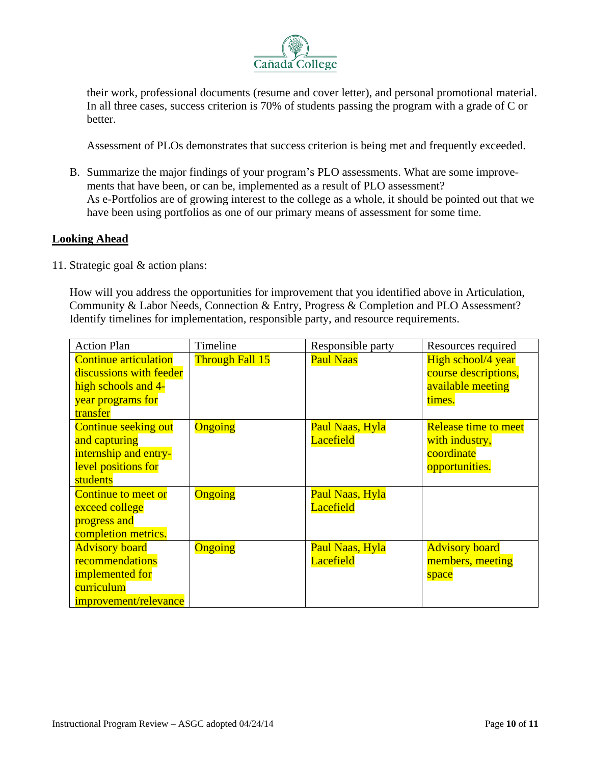

their work, professional documents (resume and cover letter), and personal promotional material. In all three cases, success criterion is 70% of students passing the program with a grade of C or better.

Assessment of PLOs demonstrates that success criterion is being met and frequently exceeded.

B. Summarize the major findings of your program's PLO assessments. What are some improvements that have been, or can be, implemented as a result of PLO assessment? As e-Portfolios are of growing interest to the college as a whole, it should be pointed out that we have been using portfolios as one of our primary means of assessment for some time.

#### **Looking Ahead**

11. Strategic goal & action plans:

How will you address the opportunities for improvement that you identified above in Articulation, Community & Labor Needs, Connection & Entry, Progress & Completion and PLO Assessment? Identify timelines for implementation, responsible party, and resource requirements.

| <b>Action Plan</b>                                                                                              | Timeline               | Responsible party                          | Resources required                                                            |
|-----------------------------------------------------------------------------------------------------------------|------------------------|--------------------------------------------|-------------------------------------------------------------------------------|
| <b>Continue articulation</b><br>discussions with feeder<br>high schools and 4-<br>year programs for<br>transfer | <b>Through Fall 15</b> | <b>Paul Naas</b>                           | High school/4 year<br>course descriptions,<br>available meeting<br>times.     |
| <b>Continue seeking out</b><br>and capturing<br>internship and entry-<br>level positions for<br>students        | Ongoing                | Paul Naas, Hyla<br><b>Lacefield</b>        | <b>Release time to meet</b><br>with industry,<br>coordinate<br>opportunities. |
| <b>Continue to meet or</b><br>exceed college<br>progress and<br>completion metrics.                             | Ongoing                | <b>Paul Naas, Hyla</b><br><b>Lacefield</b> |                                                                               |
| <b>Advisory board</b><br>recommendations<br>implemented for<br>curriculum<br>improvement/relevance              | Ongoing                | Paul Naas, Hyla<br><b>Lacefield</b>        | <b>Advisory board</b><br>members, meeting<br>space                            |